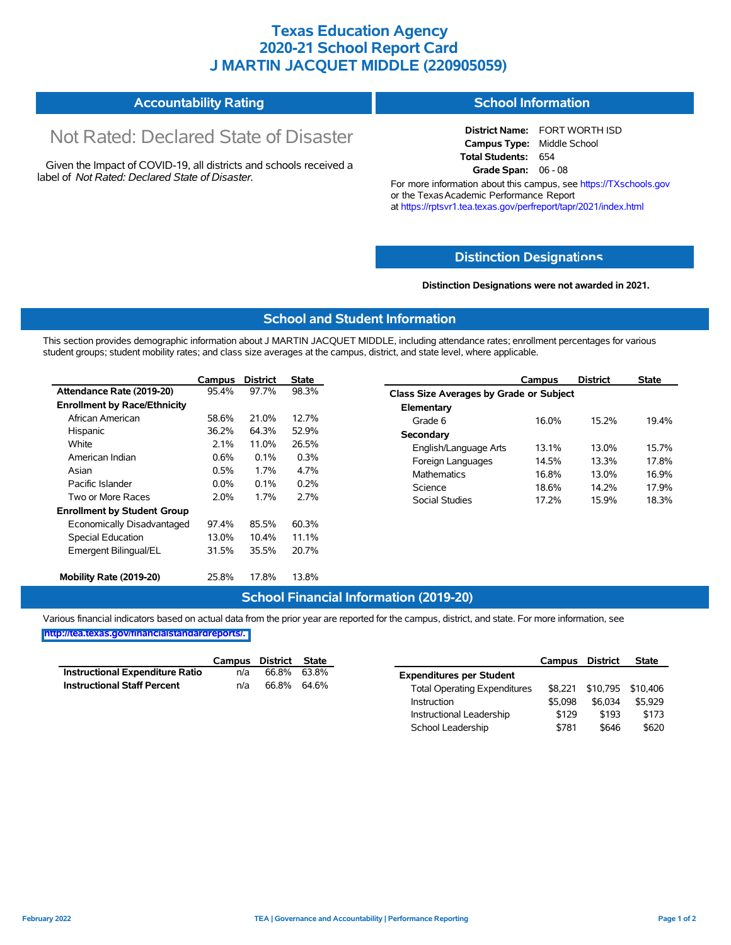## **Texas Education Agency 2020-21 School Report Card J MARTIN JACQUET MIDDLE (220905059)**

#### **Accountability Rating School Information**

# Not Rated: Declared State of Disaster

Given the Impact of COVID-19, all districts and schools received a label of *Not Rated: Declared State of Disaster.*

**District Name:** FORT WORTH ISD **Campus Type:** Middle School **Total Students:** 654 **Grade Span:** 06 - 08

For more information about this campus, see https://TXschools.gov or the Texas Academic Performance Report at https://rptsvr1.tea.texas.gov/perfreport/tapr/2021/index.html

#### **Distinction Designat[ions](https://TXschools.gov)**

**Distinction Designations were not awarded in 2021.**

School Leadership  $$781$  \$646 \$620

#### **School and Student Information**

This section provides demographic information about J MARTIN JACQUET MIDDLE, including attendance rates; enrollment percentages for various student groups; student mobility rates; and class size averages at the campus, district, and state level, where applicable.

|                                     | Campus                                                                                                                              | <b>District</b> | <b>State</b> |                       | Campus                                  | <b>District</b> | <b>State</b> |  |  |  |
|-------------------------------------|-------------------------------------------------------------------------------------------------------------------------------------|-----------------|--------------|-----------------------|-----------------------------------------|-----------------|--------------|--|--|--|
| Attendance Rate (2019-20)           | 95.4%                                                                                                                               | 97.7%           | 98.3%        |                       | Class Size Averages by Grade or Subject |                 |              |  |  |  |
| <b>Enrollment by Race/Ethnicity</b> |                                                                                                                                     |                 |              | Elementary            |                                         |                 |              |  |  |  |
| African American                    | 58.6%                                                                                                                               | 21.0%           | 12.7%        | Grade 6               | 16.0%                                   | 15.2%           | 19.4%        |  |  |  |
| Hispanic                            | 36.2%                                                                                                                               | 64.3%           | 52.9%        | Secondary             |                                         |                 |              |  |  |  |
| White                               | 2.1%<br>26.5%<br>11.0%<br>English/Language Arts<br>0.6%<br>0.3%<br>0.1%<br>Foreign Languages<br>0.5%<br>1.7%<br>4.7%<br>Mathematics |                 |              |                       | 13.1%                                   | 13.0%           | 15.7%        |  |  |  |
| American Indian                     |                                                                                                                                     |                 |              |                       | 14.5%                                   | 13.3%           | 17.8%        |  |  |  |
| Asian                               |                                                                                                                                     |                 |              |                       | 16.8%                                   | 13.0%           | 16.9%        |  |  |  |
| Pacific Islander                    | $0.0\%$                                                                                                                             | 0.1%            | 0.2%         | Science               | 18.6%                                   | 14.2%           | 17.9%        |  |  |  |
| Two or More Races                   | 2.0%                                                                                                                                | 1.7%            | 2.7%         | <b>Social Studies</b> | 17.2%                                   | 15.9%           | 18.3%        |  |  |  |
| <b>Enrollment by Student Group</b>  |                                                                                                                                     |                 |              |                       |                                         |                 |              |  |  |  |
| Economically Disadvantaged          | 97.4%                                                                                                                               | 85.5%           | 60.3%        |                       |                                         |                 |              |  |  |  |
| Special Education                   | 13.0%                                                                                                                               | $10.4\%$        | 11.1%        |                       |                                         |                 |              |  |  |  |
| Emergent Bilingual/EL               | 31.5%                                                                                                                               | 35.5%           | 20.7%        |                       |                                         |                 |              |  |  |  |
|                                     |                                                                                                                                     |                 |              |                       |                                         |                 |              |  |  |  |
| Mobility Rate (2019-20)             | 25.8%                                                                                                                               | 17.8%           | 13.8%        |                       |                                         |                 |              |  |  |  |

#### **School Financial Information (2019-20)**

Various financial indicators based on actual data from the prior year are reported for the campus, district, and state. For more information, see

**[http://tea.texas.gov/financialstandardreports/.](http://tea.texas.gov/financialstandardreports/)**

|                                        | Campus | District | <b>State</b> |                                     | Campus  | <b>District</b> | <b>State</b>              |
|----------------------------------------|--------|----------|--------------|-------------------------------------|---------|-----------------|---------------------------|
| <b>Instructional Expenditure Ratio</b> | n/a    | 66.8%    | 63.8%        | <b>Expenditures per Student</b>     |         |                 |                           |
| <b>Instructional Staff Percent</b>     | n/a    | 66.8%    | 64.6%        | <b>Total Operating Expenditures</b> |         |                 | \$8,221 \$10,795 \$10,406 |
|                                        |        |          |              | Instruction                         | \$5.098 | \$6.034         | \$5,929                   |
|                                        |        |          |              | Instructional Leadership            | \$129   | \$193           | \$173                     |